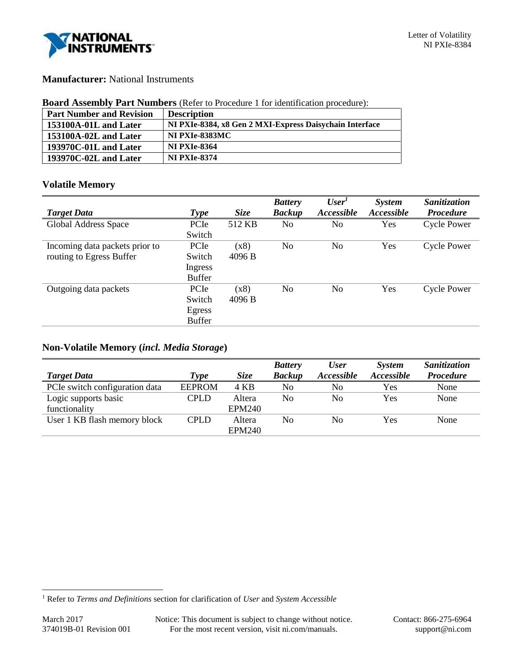

## **Manufacturer:** National Instruments

| <b>Board Assembly Part Numbers</b> (Refer to Procedure 1 for identification procedure): |
|-----------------------------------------------------------------------------------------|
|-----------------------------------------------------------------------------------------|

| <b>Part Number and Revision</b> | <b>Description</b>                                      |
|---------------------------------|---------------------------------------------------------|
| 153100A-01L and Later           | NI PXIe-8384, x8 Gen 2 MXI-Express Daisychain Interface |
| 153100A-02L and Later           | <b>NI PXIe-8383MC</b>                                   |
| 193970C-01L and Later           | <b>NI PXIe-8364</b>                                     |
| $193970C-02L$ and Later         | <b>NI PXIe-8374</b>                                     |

## **Volatile Memory**

|                                |               |             | <b>Battery</b> | User <sup>1</sup> | <b>System</b> | Sanitization       |
|--------------------------------|---------------|-------------|----------------|-------------------|---------------|--------------------|
| <b>Target Data</b>             | <b>Type</b>   | <b>Size</b> | <b>Backup</b>  | Accessible        | Accessible    | <b>Procedure</b>   |
| Global Address Space           | PCIe          | 512 KB      | No             | No                | Yes           | <b>Cycle Power</b> |
|                                | Switch        |             |                |                   |               |                    |
| Incoming data packets prior to | PCIe          | (x8)        | No             | N <sub>0</sub>    | Yes           | Cycle Power        |
| routing to Egress Buffer       | Switch        | 4096 B      |                |                   |               |                    |
|                                | Ingress       |             |                |                   |               |                    |
|                                | <b>Buffer</b> |             |                |                   |               |                    |
| Outgoing data packets          | PCIe          | (x8)        | No             | No                | Yes           | Cycle Power        |
|                                | Switch        | 4096 B      |                |                   |               |                    |
|                                | Egress        |             |                |                   |               |                    |
|                                | <b>Buffer</b> |             |                |                   |               |                    |

# **Non-Volatile Memory (***incl. Media Storage***)**

|                                |               | <b>Size</b>   | <b>Battery</b><br><b>Backup</b> | <b>User</b><br><i><b>Accessible</b></i> | <b>System</b><br><i>Accessible</i> | Sanitization<br><b>Procedure</b> |
|--------------------------------|---------------|---------------|---------------------------------|-----------------------------------------|------------------------------------|----------------------------------|
| <b>Target Data</b>             | Type          |               |                                 |                                         |                                    |                                  |
| PCIe switch configuration data | <b>EEPROM</b> | 4 KB          | No                              | No                                      | Yes                                | None                             |
| Logic supports basic           | <b>CPLD</b>   | Altera        | N <sub>0</sub>                  | No                                      | Yes                                | None                             |
| functionality                  |               | <b>EPM240</b> |                                 |                                         |                                    |                                  |
| User 1 KB flash memory block   | <b>CPLD</b>   | Altera        | N <sub>0</sub>                  | No                                      | Yes                                | None                             |
|                                |               | <b>EPM240</b> |                                 |                                         |                                    |                                  |

l

<sup>1</sup> Refer to *Terms and Definitions* section for clarification of *User* and *System Accessible*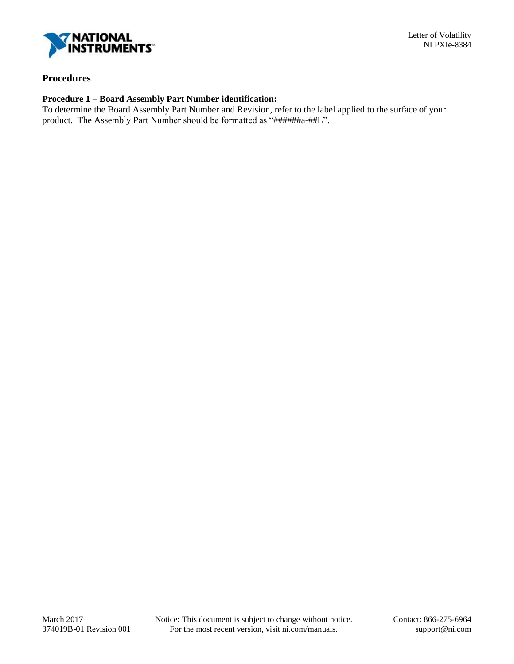

### **Procedures**

#### **Procedure 1 – Board Assembly Part Number identification:**

To determine the Board Assembly Part Number and Revision, refer to the label applied to the surface of your product. The Assembly Part Number should be formatted as "######a-##L".